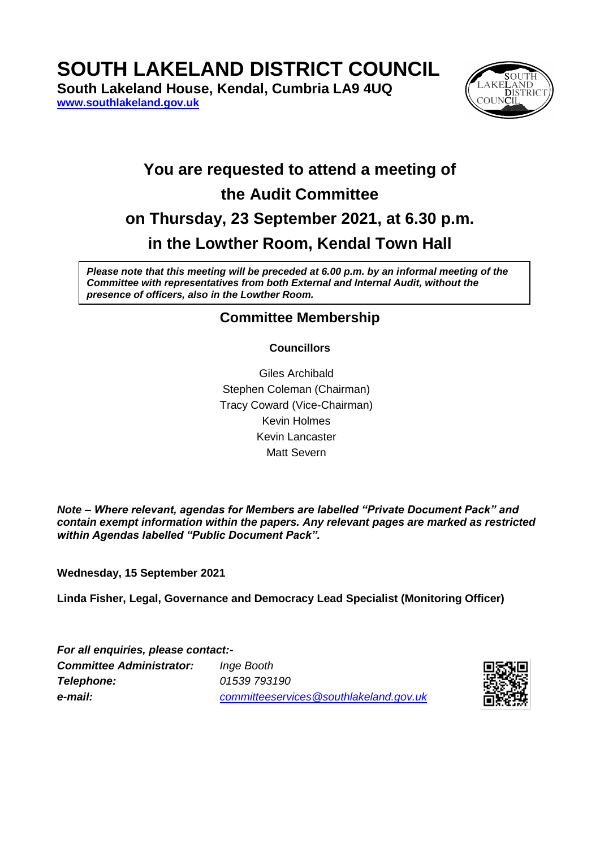**SOUTH LAKELAND DISTRICT COUNCIL**

**South Lakeland House, Kendal, Cumbria LA9 4UQ [www.southlakeland.gov.uk](http://www.southlakeland.gov.uk/)**



# **You are requested to attend a meeting of the Audit Committee on Thursday, 23 September 2021, at 6.30 p.m. in the Lowther Room, Kendal Town Hall**

*Please note that this meeting will be preceded at 6.00 p.m. by an informal meeting of the Committee with representatives from both External and Internal Audit, without the presence of officers, also in the Lowther Room.*

# **Committee Membership**

## **Councillors**

Giles Archibald Stephen Coleman (Chairman) Tracy Coward (Vice-Chairman) Kevin Holmes Kevin Lancaster Matt Severn

*Note – Where relevant, agendas for Members are labelled "Private Document Pack" and contain exempt information within the papers. Any relevant pages are marked as restricted within Agendas labelled "Public Document Pack".*

**Wednesday, 15 September 2021**

**Linda Fisher, Legal, Governance and Democracy Lead Specialist (Monitoring Officer)**

*For all enquiries, please contact:- Committee Administrator: Inge Booth Telephone: 01539 793190 e-mail: committeeservices@southlakeland.gov.uk*

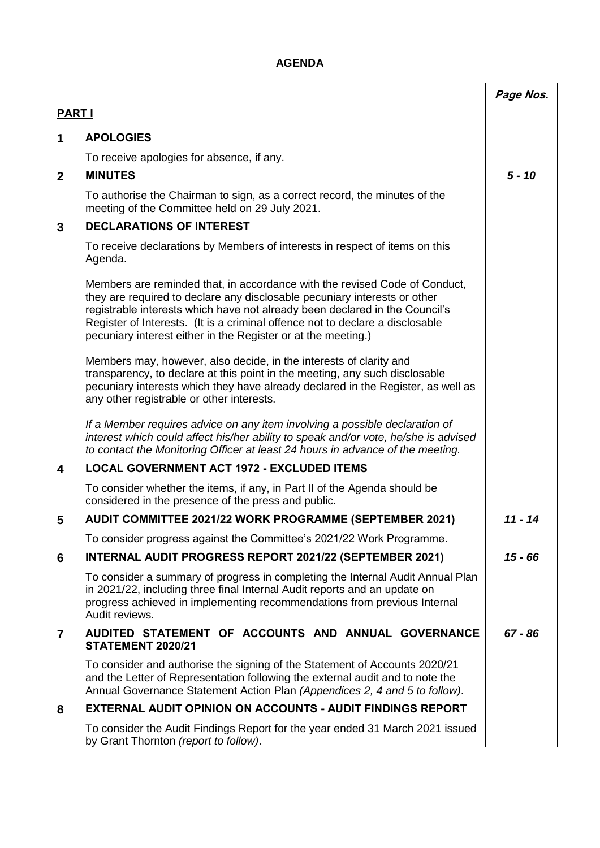# **AGENDA**

|                |                                                                                                                                                                                                                                                                                                                                                                                          | Page Nos. |
|----------------|------------------------------------------------------------------------------------------------------------------------------------------------------------------------------------------------------------------------------------------------------------------------------------------------------------------------------------------------------------------------------------------|-----------|
| <b>PART I</b>  |                                                                                                                                                                                                                                                                                                                                                                                          |           |
| 1              | <b>APOLOGIES</b>                                                                                                                                                                                                                                                                                                                                                                         |           |
|                | To receive apologies for absence, if any.                                                                                                                                                                                                                                                                                                                                                |           |
| $\mathbf{2}$   | <b>MINUTES</b>                                                                                                                                                                                                                                                                                                                                                                           | $5 - 10$  |
|                | To authorise the Chairman to sign, as a correct record, the minutes of the<br>meeting of the Committee held on 29 July 2021.                                                                                                                                                                                                                                                             |           |
| 3              | <b>DECLARATIONS OF INTEREST</b>                                                                                                                                                                                                                                                                                                                                                          |           |
|                | To receive declarations by Members of interests in respect of items on this<br>Agenda.                                                                                                                                                                                                                                                                                                   |           |
|                | Members are reminded that, in accordance with the revised Code of Conduct,<br>they are required to declare any disclosable pecuniary interests or other<br>registrable interests which have not already been declared in the Council's<br>Register of Interests. (It is a criminal offence not to declare a disclosable<br>pecuniary interest either in the Register or at the meeting.) |           |
|                | Members may, however, also decide, in the interests of clarity and<br>transparency, to declare at this point in the meeting, any such disclosable<br>pecuniary interests which they have already declared in the Register, as well as<br>any other registrable or other interests.                                                                                                       |           |
|                | If a Member requires advice on any item involving a possible declaration of<br>interest which could affect his/her ability to speak and/or vote, he/she is advised<br>to contact the Monitoring Officer at least 24 hours in advance of the meeting.                                                                                                                                     |           |
| 4              | <b>LOCAL GOVERNMENT ACT 1972 - EXCLUDED ITEMS</b>                                                                                                                                                                                                                                                                                                                                        |           |
|                | To consider whether the items, if any, in Part II of the Agenda should be<br>considered in the presence of the press and public.                                                                                                                                                                                                                                                         |           |
| 5              | AUDIT COMMITTEE 2021/22 WORK PROGRAMME (SEPTEMBER 2021)                                                                                                                                                                                                                                                                                                                                  | 11 - 14   |
|                | To consider progress against the Committee's 2021/22 Work Programme.                                                                                                                                                                                                                                                                                                                     |           |
| 6              | <b>INTERNAL AUDIT PROGRESS REPORT 2021/22 (SEPTEMBER 2021)</b>                                                                                                                                                                                                                                                                                                                           | $15 - 66$ |
|                | To consider a summary of progress in completing the Internal Audit Annual Plan<br>in 2021/22, including three final Internal Audit reports and an update on<br>progress achieved in implementing recommendations from previous Internal<br>Audit reviews.                                                                                                                                |           |
| $\overline{7}$ | AUDITED STATEMENT OF ACCOUNTS AND ANNUAL GOVERNANCE<br>STATEMENT 2020/21                                                                                                                                                                                                                                                                                                                 | $67 - 86$ |
|                | To consider and authorise the signing of the Statement of Accounts 2020/21<br>and the Letter of Representation following the external audit and to note the<br>Annual Governance Statement Action Plan (Appendices 2, 4 and 5 to follow).                                                                                                                                                |           |
| 8              | <b>EXTERNAL AUDIT OPINION ON ACCOUNTS - AUDIT FINDINGS REPORT</b>                                                                                                                                                                                                                                                                                                                        |           |
|                | To consider the Audit Findings Report for the year ended 31 March 2021 issued<br>by Grant Thornton (report to follow).                                                                                                                                                                                                                                                                   |           |